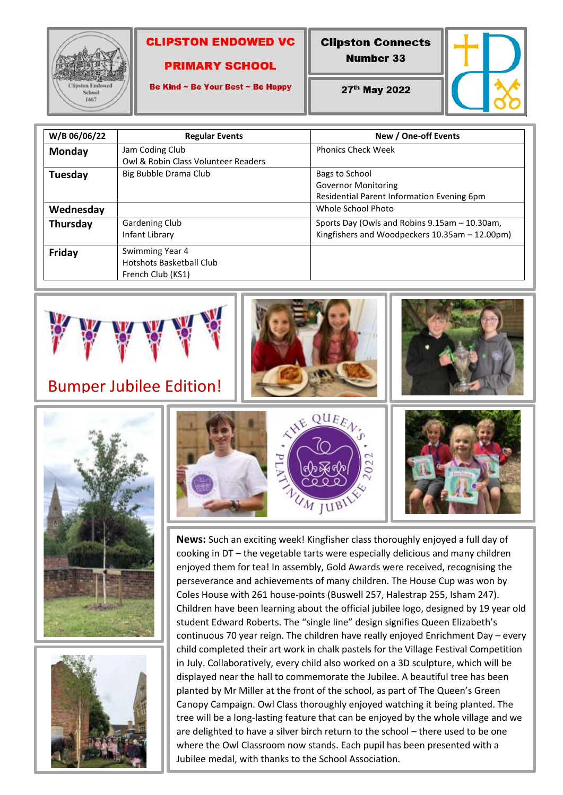

#### **CLIPSTON ENDOWED VC**

#### **PRIMARY SCHOOL**

Be Kind ~ Be Your Best ~ Be Happy

**Clipston Connects Number 33** 

27th May 2022



| W/B 06/06/22 | <b>Regular Events</b>                                            | New / One-off Events                                                                            |
|--------------|------------------------------------------------------------------|-------------------------------------------------------------------------------------------------|
| Monday       | Jam Coding Club<br>Owl & Robin Class Volunteer Readers           | <b>Phonics Check Week</b>                                                                       |
| Tuesday      | Big Bubble Drama Club                                            | Bags to School<br><b>Governor Monitoring</b><br>Residential Parent Information Evening 6pm      |
| Wednesday    |                                                                  | Whole School Photo                                                                              |
| Thursday     | Gardening Club<br>Infant Library                                 | Sports Day (Owls and Robins 9.15am - 10.30am,<br>Kingfishers and Woodpeckers 10.35am - 12.00pm) |
| Friday       | Swimming Year 4<br>Hotshots Basketball Club<br>French Club (KS1) |                                                                                                 |



### Bumper Jubilee Edition!











**News:** Such an exciting week! Kingfisher class thoroughly enjoyed a full day of cooking in DT – the vegetable tarts were especially delicious and many children enjoyed them for tea! In assembly, Gold Awards were received, recognising the perseverance and achievements of many children. The House Cup was won by Coles House with 261 house-points (Buswell 257, Halestrap 255, Isham 247). Children have been learning about the official jubilee logo, designed by 19 year old student Edward Roberts. The "single line" design signifies Queen Elizabeth's continuous 70 year reign. The children have really enjoyed Enrichment Day – every child completed their art work in chalk pastels for the Village Festival Competition in July. Collaboratively, every child also worked on a 3D sculpture, which will be displayed near the hall to commemorate the Jubilee. A beautiful tree has been planted by Mr Miller at the front of the school, as part of The Queen's Green Canopy Campaign. Owl Class thoroughly enjoyed watching it being planted. The tree will be a long-lasting feature that can be enjoyed by the whole village and we are delighted to have a silver birch return to the school – there used to be one where the Owl Classroom now stands. Each pupil has been presented with a Jubilee medal, with thanks to the School Association.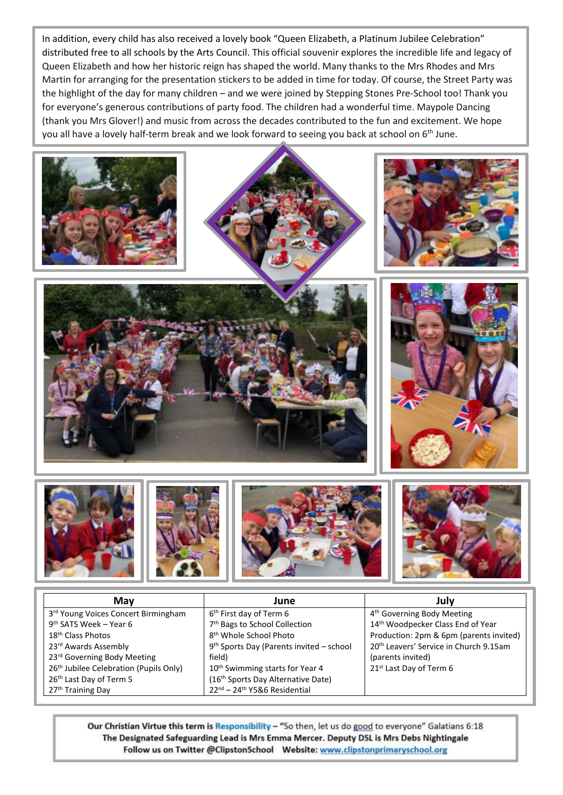In addition, every child has also received a lovely book "Queen Elizabeth, a Platinum Jubilee Celebration" distributed free to all schools by the Arts Council. This official souvenir explores the incredible life and legacy of Queen Elizabeth and how her historic reign has shaped the world. Many thanks to the Mrs Rhodes and Mrs Martin for arranging for the presentation stickers to be added in time for today. Of course, the Street Party was the highlight of the day for many children – and we were joined by Stepping Stones Pre-School too! Thank you for everyone's generous contributions of party food. The children had a wonderful time. Maypole Dancing (thank you Mrs Glover!) and music from across the decades contributed to the fun and excitement. We hope you all have a lovely half-term break and we look forward to seeing you back at school on 6<sup>th</sup> June.





| May                                                | June                                                 | July                                               |
|----------------------------------------------------|------------------------------------------------------|----------------------------------------------------|
| 3rd Young Voices Concert Birmingham                | 6 <sup>th</sup> First day of Term 6                  | 4 <sup>th</sup> Governing Body Meeting             |
| 9 <sup>th</sup> SATS Week - Year 6                 | 7 <sup>th</sup> Bags to School Collection            | 14th Woodpecker Class End of Year                  |
| 18 <sup>th</sup> Class Photos                      | 8 <sup>th</sup> Whole School Photo                   | Production: 2pm & 6pm (parents invited)            |
| 23rd Awards Assembly                               | 9 <sup>th</sup> Sports Day (Parents invited - school | 20 <sup>th</sup> Leavers' Service in Church 9.15am |
| 23rd Governing Body Meeting                        | field)                                               | (parents invited)                                  |
| 26 <sup>th</sup> Jubilee Celebration (Pupils Only) | 10 <sup>th</sup> Swimming starts for Year 4          | 21 <sup>st</sup> Last Day of Term 6                |
| 26 <sup>th</sup> Last Day of Term 5                | (16th Sports Day Alternative Date)                   |                                                    |
| 27 <sup>th</sup> Training Day                      | 22nd - 24th Y5&6 Residential                         |                                                    |

Our Christian Virtue this term is Responsibility - "So then, let us do good to everyone" Galatians 6:18 The Designated Safeguarding Lead is Mrs Emma Mercer. Deputy DSL is Mrs Debs Nightingale Follow us on Twitter @ClipstonSchool Website: www.clipstonprimaryschool.org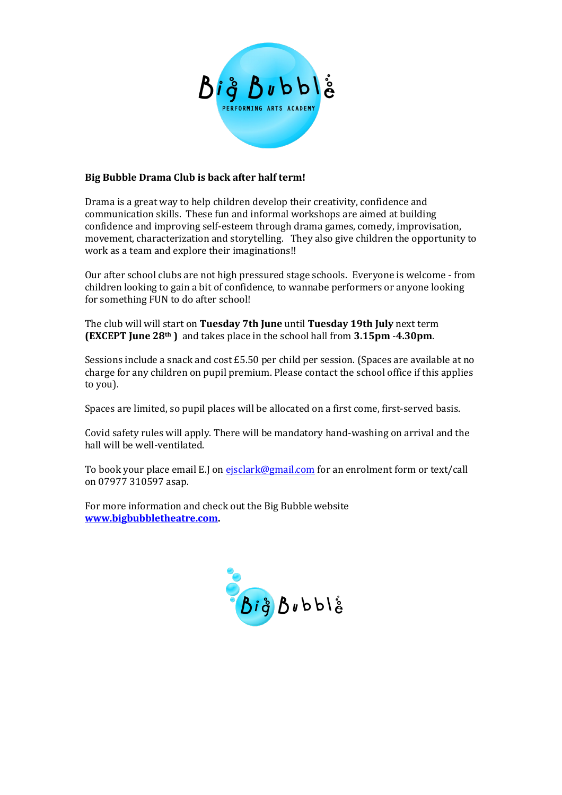

#### **Big Bubble Drama Club is back after half term!**

Drama is a great way to help children develop their creativity, confidence and communication skills. These fun and informal workshops are aimed at building confidence and improving self-esteem through drama games, comedy, improvisation, movement, characterization and storytelling. They also give children the opportunity to work as a team and explore their imaginations!!

Our after school clubs are not high pressured stage schools. Everyone is welcome - from children looking to gain a bit of confidence, to wannabe performers or anyone looking for something FUN to do after school!

The club will will start on **Tuesday 7th June** until **Tuesday 19th July** next term **(EXCEPT June 28th )** and takes place in the school hall from **3.15pm** -**4.30pm**.

Sessions include a snack and cost £5.50 per child per session. (Spaces are available at no charge for any children on pupil premium. Please contact the school office if this applies to you).

Spaces are limited, so pupil places will be allocated on a first come, first-served basis.

Covid safety rules will apply. There will be mandatory hand-washing on arrival and the hall will be well-ventilated.

To book your place email E.J on eisclark@gmail.com for an enrolment form or text/call on 07977 310597 asap.

For more information and check out the Big Bubble website **[www.bigbubbletheatre.com.](http://www.bigbubbletheatre.com/)**

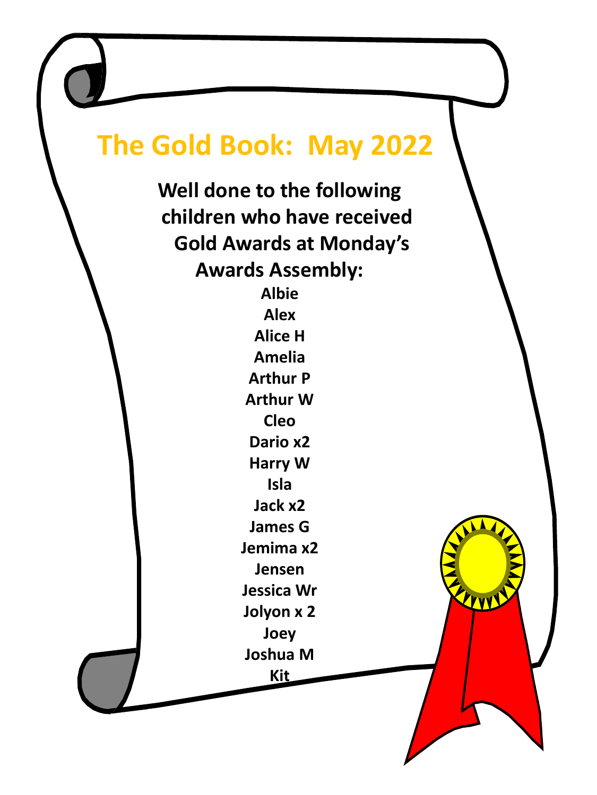# **The Gold Book: May 2022**

**Well done to the following children who have received Gold Awards at Monday's Awards Assembly:**

> **Albie Alex Alice H Amelia Arthur P Arthur W Cleo Dario x2 Harry W Isla Jack x2 James G Jemima x2 Jensen Jessica Wr Jolyon x 2 Joey**

**Joshua M**

ELLVVV

**Kit**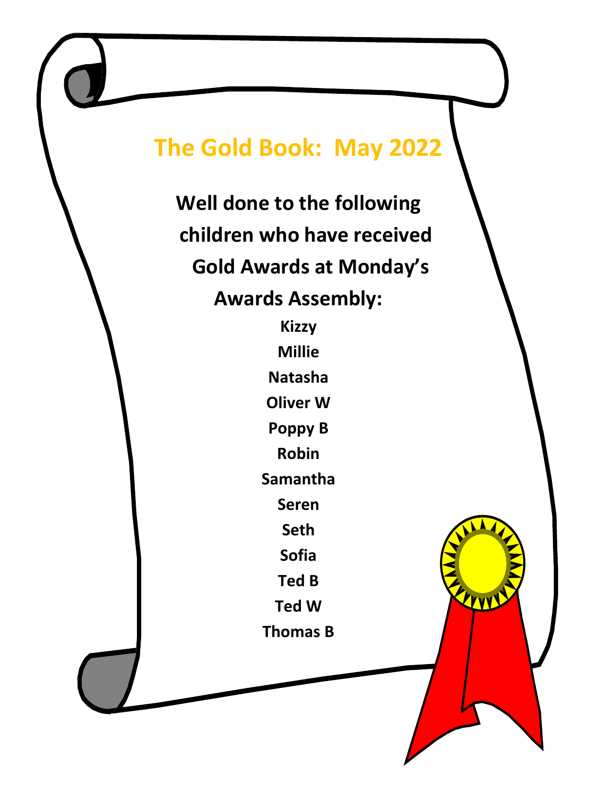## **The Gold Book: May 2022**

**Well done to the following children who have received Gold Awards at Monday's Awards Assembly:**

> **Kizzy Millie Natasha Oliver W Poppy B Robin Samantha Seren Seth Sofia Ted B Ted W**

**Thomas B**

LEVVEL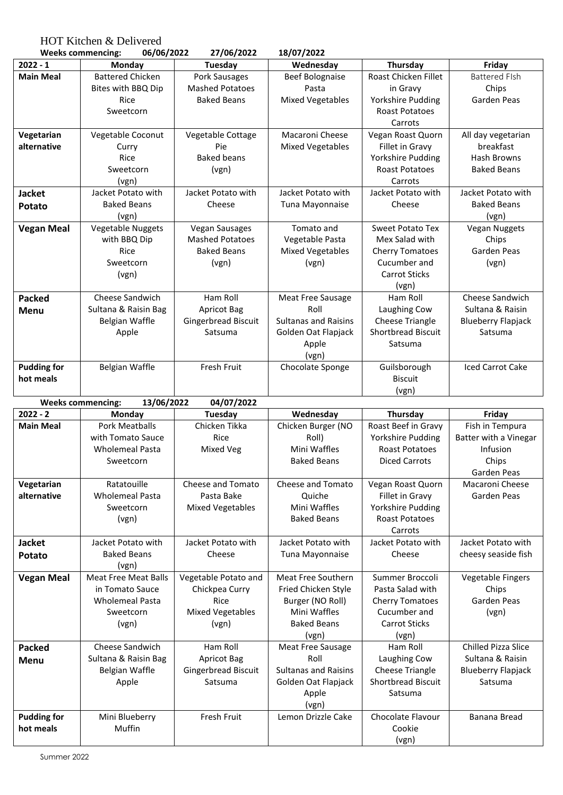HOT Kitchen & Delivered

| 06/06/2022<br>27/06/2022<br><b>Weeks commencing:</b> |                                        | 18/07/2022              |                                    |                                               |                            |
|------------------------------------------------------|----------------------------------------|-------------------------|------------------------------------|-----------------------------------------------|----------------------------|
| $2022 - 1$                                           | Monday                                 | Tuesday                 | Wednesday                          | Thursday                                      | Friday                     |
| <b>Main Meal</b>                                     | <b>Battered Chicken</b>                | Pork Sausages           | <b>Beef Bolognaise</b>             | Roast Chicken Fillet                          | <b>Battered FIsh</b>       |
|                                                      | Bites with BBQ Dip                     | <b>Mashed Potatoes</b>  | Pasta                              | in Gravy                                      | Chips                      |
|                                                      | Rice                                   | <b>Baked Beans</b>      | <b>Mixed Vegetables</b>            | Yorkshire Pudding                             | Garden Peas                |
|                                                      | Sweetcorn                              |                         |                                    | <b>Roast Potatoes</b>                         |                            |
|                                                      |                                        |                         |                                    | Carrots                                       |                            |
| Vegetarian                                           | Vegetable Coconut                      | Vegetable Cottage       | Macaroni Cheese                    | Vegan Roast Quorn                             | All day vegetarian         |
| alternative                                          | Curry                                  | Pie                     | <b>Mixed Vegetables</b>            | Fillet in Gravy                               | breakfast                  |
|                                                      | Rice                                   | <b>Baked beans</b>      |                                    | Yorkshire Pudding                             | <b>Hash Browns</b>         |
|                                                      | Sweetcorn                              | (vgn)                   |                                    | <b>Roast Potatoes</b>                         | <b>Baked Beans</b>         |
|                                                      | (vgn)                                  |                         |                                    | Carrots                                       |                            |
| <b>Jacket</b>                                        | Jacket Potato with                     | Jacket Potato with      | Jacket Potato with                 | Jacket Potato with                            | Jacket Potato with         |
| <b>Potato</b>                                        | <b>Baked Beans</b>                     | Cheese                  | Tuna Mayonnaise                    | Cheese                                        | <b>Baked Beans</b>         |
|                                                      | (vgn)                                  |                         |                                    |                                               | (vgn)                      |
| <b>Vegan Meal</b>                                    | Vegetable Nuggets                      | Vegan Sausages          | Tomato and                         | <b>Sweet Potato Tex</b>                       | <b>Vegan Nuggets</b>       |
|                                                      | with BBQ Dip                           | <b>Mashed Potatoes</b>  | Vegetable Pasta                    | Mex Salad with                                | Chips                      |
|                                                      | Rice                                   | <b>Baked Beans</b>      | <b>Mixed Vegetables</b>            | <b>Cherry Tomatoes</b>                        | Garden Peas                |
|                                                      | Sweetcorn                              | (vgn)                   | (vgn)                              | Cucumber and                                  | (vgn)                      |
|                                                      | (vgn)                                  |                         |                                    | <b>Carrot Sticks</b>                          |                            |
|                                                      |                                        |                         |                                    | (vgn)                                         |                            |
| <b>Packed</b>                                        | Cheese Sandwich                        | Ham Roll                | Meat Free Sausage                  | Ham Roll                                      | Cheese Sandwich            |
| Menu                                                 | Sultana & Raisin Bag                   | <b>Apricot Bag</b>      | Roll                               | Laughing Cow                                  | Sultana & Raisin           |
|                                                      | Belgian Waffle                         | Gingerbread Biscuit     | <b>Sultanas and Raisins</b>        | <b>Cheese Triangle</b>                        | <b>Blueberry Flapjack</b>  |
|                                                      | Apple                                  | Satsuma                 | Golden Oat Flapjack                | <b>Shortbread Biscuit</b>                     | Satsuma                    |
|                                                      |                                        |                         | Apple                              | Satsuma                                       |                            |
|                                                      |                                        |                         | (vgn)                              |                                               |                            |
| <b>Pudding for</b>                                   | Belgian Waffle                         | Fresh Fruit             | Chocolate Sponge                   | Guilsborough                                  | <b>Iced Carrot Cake</b>    |
| hot meals                                            |                                        |                         |                                    | <b>Biscuit</b>                                |                            |
|                                                      |                                        |                         |                                    | (vgn)                                         |                            |
|                                                      | 13/06/2022<br><b>Weeks commencing:</b> | 04/07/2022              |                                    |                                               |                            |
| $2022 - 2$                                           | Monday                                 | <b>Tuesday</b>          | Wednesday                          | Thursday                                      | Friday                     |
| <b>Main Meal</b>                                     | <b>Pork Meatballs</b>                  | Chicken Tikka           | Chicken Burger (NO                 | Roast Beef in Gravy                           | Fish in Tempura            |
|                                                      | with Tomato Sauce                      | Rice                    | Roll)                              | Yorkshire Pudding                             | Batter with a Vinegar      |
|                                                      | <b>Wholemeal Pasta</b><br>Sweetcorn    | Mixed Veg               | Mini Waffles<br><b>Baked Beans</b> | <b>Roast Potatoes</b><br><b>Diced Carrots</b> | Infusion<br>Chips          |
|                                                      |                                        |                         |                                    |                                               | Garden Peas                |
| Vegetarian                                           | Ratatouille                            | Cheese and Tomato       | Cheese and Tomato                  | Vegan Roast Quorn                             | Macaroni Cheese            |
| alternative                                          | <b>Wholemeal Pasta</b>                 | Pasta Bake              | Quiche                             | Fillet in Gravy                               | Garden Peas                |
|                                                      | Sweetcorn                              | <b>Mixed Vegetables</b> | Mini Waffles                       | Yorkshire Pudding                             |                            |
|                                                      | (vgn)                                  |                         | <b>Baked Beans</b>                 | <b>Roast Potatoes</b>                         |                            |
|                                                      |                                        |                         |                                    | Carrots                                       |                            |
| <b>Jacket</b>                                        | Jacket Potato with                     | Jacket Potato with      | Jacket Potato with                 | Jacket Potato with                            | Jacket Potato with         |
| <b>Potato</b>                                        | <b>Baked Beans</b>                     | Cheese                  | Tuna Mayonnaise                    | Cheese                                        | cheesy seaside fish        |
|                                                      | (vgn)                                  |                         |                                    |                                               |                            |
| <b>Vegan Meal</b>                                    | <b>Meat Free Meat Balls</b>            | Vegetable Potato and    | Meat Free Southern                 | Summer Broccoli                               | <b>Vegetable Fingers</b>   |
|                                                      | in Tomato Sauce                        | Chickpea Curry          | Fried Chicken Style                | Pasta Salad with                              | Chips                      |
|                                                      | <b>Wholemeal Pasta</b>                 | Rice                    | Burger (NO Roll)                   | <b>Cherry Tomatoes</b>                        | Garden Peas                |
|                                                      | Sweetcorn                              | <b>Mixed Vegetables</b> | Mini Waffles                       | Cucumber and                                  | (vgn)                      |
|                                                      | (vgn)                                  | (vgn)                   | <b>Baked Beans</b>                 | <b>Carrot Sticks</b>                          |                            |
|                                                      |                                        |                         | (vgn)                              | (vgn)                                         |                            |
| <b>Packed</b>                                        | Cheese Sandwich                        | Ham Roll                | Meat Free Sausage                  | Ham Roll                                      | <b>Chilled Pizza Slice</b> |
| Menu                                                 | Sultana & Raisin Bag                   | <b>Apricot Bag</b>      | Roll                               | Laughing Cow                                  | Sultana & Raisin           |
|                                                      | Belgian Waffle                         | Gingerbread Biscuit     | <b>Sultanas and Raisins</b>        | <b>Cheese Triangle</b>                        | <b>Blueberry Flapjack</b>  |
|                                                      | Apple                                  | Satsuma                 | Golden Oat Flapjack                | Shortbread Biscuit                            | Satsuma                    |
|                                                      |                                        |                         | Apple                              | Satsuma                                       |                            |
|                                                      |                                        |                         | (vgn)                              |                                               |                            |
| <b>Pudding for</b>                                   | Mini Blueberry                         | Fresh Fruit             | Lemon Drizzle Cake                 | Chocolate Flavour                             | Banana Bread               |

Cookie (vgn)

Muffin

**hot meals**